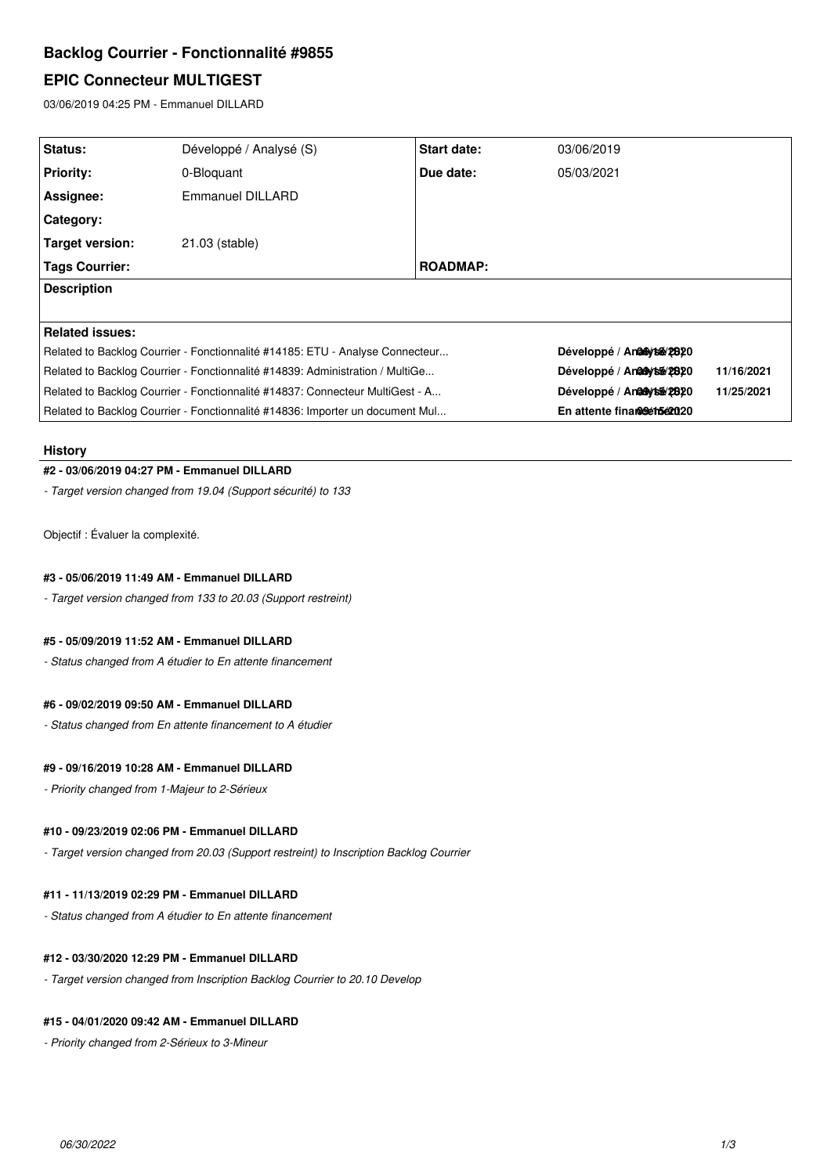# **Backlog Courrier - Fonctionnalité #9855**

# **EPIC Connecteur MULTIGEST**

03/06/2019 04:25 PM - Emmanuel DILLARD

| Status:                                                                       | Développé / Analysé (S) | Start date:     | 03/06/2019                   |            |
|-------------------------------------------------------------------------------|-------------------------|-----------------|------------------------------|------------|
| <b>Priority:</b>                                                              | 0-Bloquant              | Due date:       | 05/03/2021                   |            |
| Assignee:                                                                     | Emmanuel DILLARD        |                 |                              |            |
| Category:                                                                     |                         |                 |                              |            |
| <b>Target version:</b>                                                        | 21.03 (stable)          |                 |                              |            |
| <b>Tags Courrier:</b>                                                         |                         | <b>ROADMAP:</b> |                              |            |
| <b>Description</b>                                                            |                         |                 |                              |            |
|                                                                               |                         |                 |                              |            |
| <b>Related issues:</b>                                                        |                         |                 |                              |            |
| Related to Backlog Courrier - Fonctionnalité #14185: ETU - Analyse Connecteur |                         |                 | Développé / An 26 4/26 28 20 |            |
| Related to Backlog Courrier - Fonctionnalité #14839: Administration / MultiGe |                         |                 | Développé / Analaytsa/2820   | 11/16/2021 |
| Related to Backlog Courrier - Fonctionnalité #14837: Connecteur MultiGest - A |                         |                 | Développé / An@Aytsé/2/820   | 11/25/2021 |
| Related to Backlog Courrier - Fonctionnalité #14836: Importer un document Mul |                         |                 | En attente finamoleth5e2020  |            |

### **History**

## **#2 - 03/06/2019 04:27 PM - Emmanuel DILLARD**

*- Target version changed from 19.04 (Support sécurité) to 133*

Objectif : Évaluer la complexité.

## **#3 - 05/06/2019 11:49 AM - Emmanuel DILLARD**

*- Target version changed from 133 to 20.03 (Support restreint)*

## **#5 - 05/09/2019 11:52 AM - Emmanuel DILLARD**

*- Status changed from A étudier to En attente financement*

## **#6 - 09/02/2019 09:50 AM - Emmanuel DILLARD**

*- Status changed from En attente financement to A étudier*

## **#9 - 09/16/2019 10:28 AM - Emmanuel DILLARD**

*- Priority changed from 1-Majeur to 2-Sérieux*

## **#10 - 09/23/2019 02:06 PM - Emmanuel DILLARD**

*- Target version changed from 20.03 (Support restreint) to Inscription Backlog Courrier*

## **#11 - 11/13/2019 02:29 PM - Emmanuel DILLARD**

*- Status changed from A étudier to En attente financement*

### **#12 - 03/30/2020 12:29 PM - Emmanuel DILLARD**

*- Target version changed from Inscription Backlog Courrier to 20.10 Develop*

### **#15 - 04/01/2020 09:42 AM - Emmanuel DILLARD**

*- Priority changed from 2-Sérieux to 3-Mineur*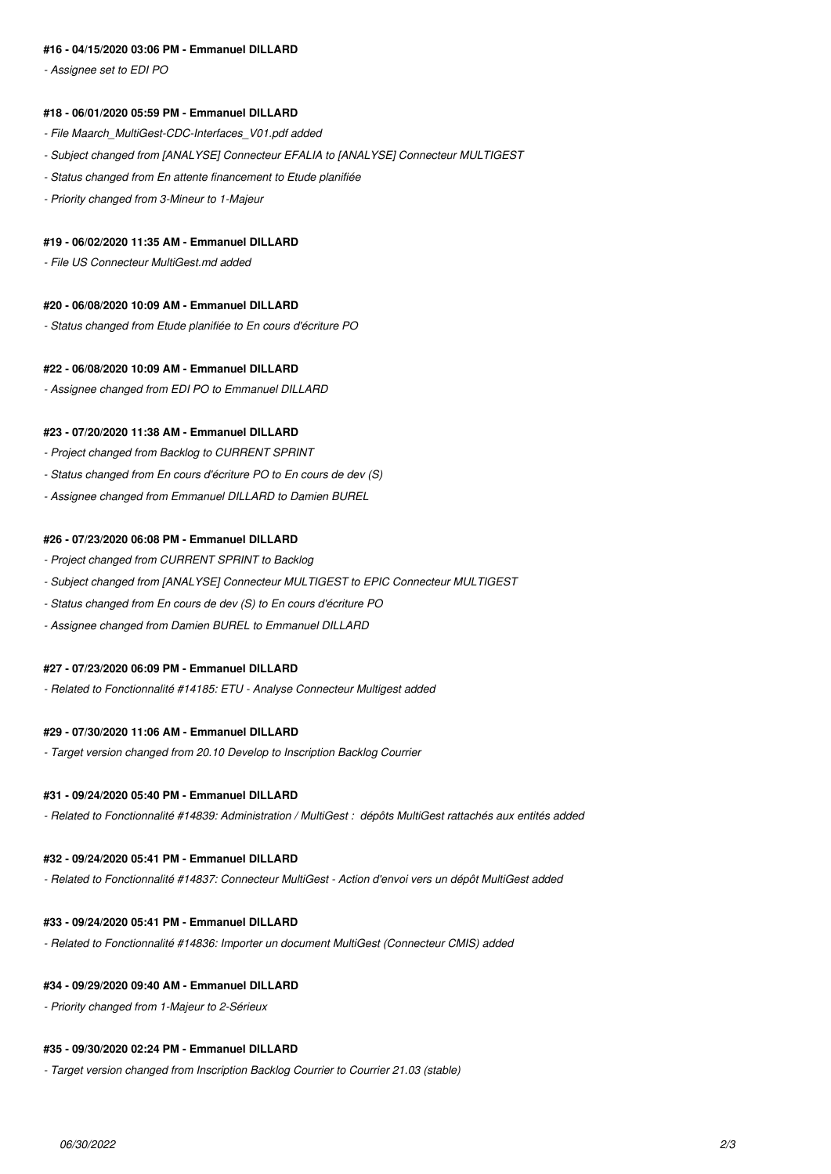## **#16 - 04/15/2020 03:06 PM - Emmanuel DILLARD**

*- Assignee set to EDI PO*

#### **#18 - 06/01/2020 05:59 PM - Emmanuel DILLARD**

- *File Maarch\_MultiGest-CDC-Interfaces\_V01.pdf added*
- *Subject changed from [ANALYSE] Connecteur EFALIA to [ANALYSE] Connecteur MULTIGEST*
- *Status changed from En attente financement to Etude planifiée*
- *Priority changed from 3-Mineur to 1-Majeur*

#### **#19 - 06/02/2020 11:35 AM - Emmanuel DILLARD**

*- File US Connecteur MultiGest.md added*

#### **#20 - 06/08/2020 10:09 AM - Emmanuel DILLARD**

*- Status changed from Etude planifiée to En cours d'écriture PO*

#### **#22 - 06/08/2020 10:09 AM - Emmanuel DILLARD**

*- Assignee changed from EDI PO to Emmanuel DILLARD*

#### **#23 - 07/20/2020 11:38 AM - Emmanuel DILLARD**

- *Project changed from Backlog to CURRENT SPRINT*
- *Status changed from En cours d'écriture PO to En cours de dev (S)*
- *Assignee changed from Emmanuel DILLARD to Damien BUREL*

#### **#26 - 07/23/2020 06:08 PM - Emmanuel DILLARD**

- *Project changed from CURRENT SPRINT to Backlog*
- *Subject changed from [ANALYSE] Connecteur MULTIGEST to EPIC Connecteur MULTIGEST*
- *Status changed from En cours de dev (S) to En cours d'écriture PO*
- *Assignee changed from Damien BUREL to Emmanuel DILLARD*

### **#27 - 07/23/2020 06:09 PM - Emmanuel DILLARD**

*- Related to Fonctionnalité #14185: ETU - Analyse Connecteur Multigest added*

#### **#29 - 07/30/2020 11:06 AM - Emmanuel DILLARD**

*- Target version changed from 20.10 Develop to Inscription Backlog Courrier*

#### **#31 - 09/24/2020 05:40 PM - Emmanuel DILLARD**

*- Related to Fonctionnalité #14839: Administration / MultiGest : dépôts MultiGest rattachés aux entités added*

#### **#32 - 09/24/2020 05:41 PM - Emmanuel DILLARD**

*- Related to Fonctionnalité #14837: Connecteur MultiGest - Action d'envoi vers un dépôt MultiGest added*

## **#33 - 09/24/2020 05:41 PM - Emmanuel DILLARD**

*- Related to Fonctionnalité #14836: Importer un document MultiGest (Connecteur CMIS) added*

#### **#34 - 09/29/2020 09:40 AM - Emmanuel DILLARD**

*- Priority changed from 1-Majeur to 2-Sérieux*

### **#35 - 09/30/2020 02:24 PM - Emmanuel DILLARD**

*- Target version changed from Inscription Backlog Courrier to Courrier 21.03 (stable)*